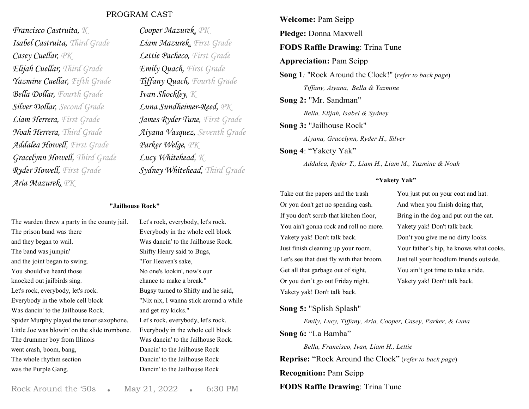## PROGRAM CAST **Welcome:** Pam Seipp

*Francisco Castruita, K Cooper Mazurek, PK Isabel Castruita, Third Grade Liam Mazurek, First Grade Casey Cuellar, PK Lettie Pacheco, First Grade Elijah Cuellar, Third Grade Emily Quach, First Grade Yazmine Cuellar, Fifth Grade Tiffany Quach, Fourth Grade Bella Dollar, Fourth Grade Ivan Shockley, K Silver Dollar, Second Grade Luna Sundheimer-Reed, PK Liam Herrera, First Grade James Ryder Tune, First Grade Addalea Howell, First Grade Parker Welge, PK Gracelynn Howell, Third Grade Lucy Whitehead, K Aria Mazurek, PK*

The warden threw a party in the county jail. Let's rock, everybody, let's rock. The prison band was there Everybody in the whole cell block and they began to wail. Was dancin' to the Jailhouse Rock. The band was jumpin' Shifty Henry said to Bugs, and the joint began to swing. "For Heaven's sake, You should've heard those No one's lookin', now's our knocked out jailbirds sing. chance to make a break." Let's rock, everybody, let's rock. Bugsy turned to Shifty and he said, Everybody in the whole cell block "Nix nix, I wanna stick around a while Was dancin' to the Jailhouse Rock. and get my kicks." Spider Murphy played the tenor saxophone, Let's rock, everybody, let's rock. Little Joe was blowin' on the slide trombone. Everybody in the whole cell block The drummer boy from Illinois Was dancin' to the Jailhouse Rock. went crash, boom, bang, Dancin' to the Jailhouse Rock The whole rhythm section Dancin' to the Jailhouse Rock was the Purple Gang. Dancin' to the Jailhouse Rock

*Noah Herrera, Third Grade Aiyana Vasquez, Seventh Grade Ryder Howell, First Grade Sydney Whitehead, Third Grade*

#### **"Jailhouse Rock"**

**Pledge:** Donna Maxwell **FODS Raffle Drawing**: Trina Tune **Appreciation:** Pam Seipp **Song 1***:* "Rock Around the Clock!" (*refer to back page*) *Tiffany, Aiyana, Bella & Yazmine* **Song 2:** "Mr. Sandman" *Bella, Elijah, Isabel & Sydney* **Song 3:** "Jailhouse Rock" *Aiyana, Gracelynn, Ryder H., Silver* **Song 4**: "Yakety Yak" *Addalea, Ryder T., Liam H., Liam M., Yazmine & Noah* **"Yakety Yak"**

Take out the papers and the trash You just put on your coat and hat. Or you don't get no spending cash. And when you finish doing that, If you don't scrub that kitchen floor, Bring in the dog and put out the cat. You ain't gonna rock and roll no more. Yakety yak! Don't talk back. Yakety yak! Don't talk back. Don't you give me no dirty looks. Get all that garbage out of sight, You ain't got time to take a ride. Or you don't go out Friday night. Yakety yak! Don't talk back. Yakety yak! Don't talk back.

Just finish cleaning up your room. Your father's hip, he knows what cooks. Let's see that dust fly with that broom. Just tell your hoodlum friends outside,

#### **Song 5:** "Splish Splash"

*Emily, Lucy, Tiffany, Aria, Cooper, Casey, Parker, & Luna*

**Song 6:** "La Bamba"

*Bella, Francisco, Ivan, Liam H., Lettie* **Reprise:** "Rock Around the Clock" (*refer to back page*) **Recognition:** Pam Seipp **FODS Raffle Drawing**: Trina Tune

Rock Around the '50s . May 21, 2022 . 6:30 PM